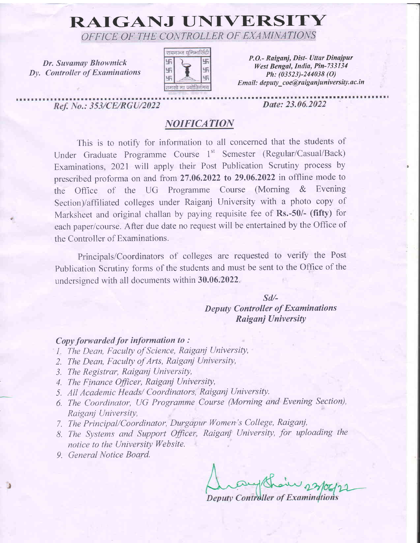# RAIGANJ UNIVERSITY

OFFICE OF THE CONTROLLER OF EXAMINATIONS

Dr. Suvamay Bhowmick Dy. Controller of Examinations



P.O.- Raiganj, Dist- Uttar Dinajpur West Bengal, India, Pin-733134 Ph:  $(03523) - 244038$  (O) Email: deputy\_coe@raiganjuniversity.ac.in

Ref. No.: 353/CE/RGU/2022

Date: 23.06.2022

## **NOIFICATION**

This is to notify for inforrnation to all concerned that the students of Under Graduate Programme Course 1" Semester (Regular/Casual/Back) Examinations, 2021 will apply their Post Publication Scrutiny process by prescribed proforma on and from 27.06.2022 to 29.06.2022 in offline mode to the Office of the UG Programme Course (Morning & Evening Section)/affiliated colleges under Raiganj University with a photo copy of Marksheet and original challan by paying requisite fee of Rs.-50/- (fifty) for each paper/course. After due date no request will be entertained by the Office of the Controller of Examinations.

Principals/Coordinators of colleges are requested to verify the Post Publication Scrutiny forms of the students and must be sent to the Office of the undersigned with all docurnents within 30.06.2022.

### sd/- Deputy Controller of Examinations Raiganj University

#### $Copy$  forwarded for information to:

- l. The Dean, Faculty of Science, Raiganj University,
- 2. The Dean, Faculty of Arts, Raigani University,
- 3. The Registrar, Raigani University,
- 4. The Finance Officer, Raigani University,
- 5. All Academic Heads/ Coordinators, Raiganj University.
- 6. The Coordinator, UG Programme Course (Morning and Evening Section), Raiganj University,
- 7. The Principal/Coordinator, Durgapur Women's College, Raiganj,
- B. The Systems and Support Officer, Raigani University, for uploading the notice to the University Website.
- 9. General Notice Board.

Deputy Controller of Examingtions